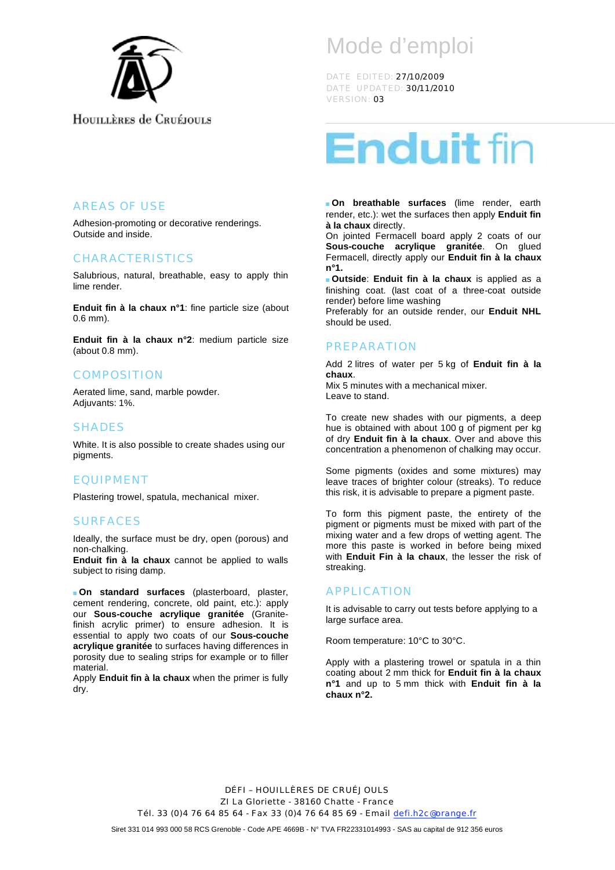

## HOUILLERES de CRUÉJOULS

# Mode d'emploi

DATE EDITED: 27/10/2009 DATE UPDATED: 30/11/2010 VERSION: 03



 **On breathable surfaces** (lime render, earth render, etc.): wet the surfaces then apply **Enduit fin à la chaux** directly.

On jointed Fermacell board apply 2 coats of our **Sous-couche acrylique granitée**. On glued Fermacell, directly apply our **Enduit fin à la chaux n°1.**

 **Outside**: **Enduit fin à la chaux** is applied as a finishing coat. (last coat of a three-coat outside render) before lime washing

Preferably for an outside render, our **Enduit NHL** should be used.

#### PREPARATION

Add 2 litres of water per 5 kg of **Enduit fin à la chaux**. Mix 5 minutes with a mechanical mixer. Leave to stand.

To create new shades with our pigments, a deep hue is obtained with about 100 g of pigment per kg of dry **Enduit fin à la chaux**. Over and above this concentration a phenomenon of chalking may occur.

Some pigments (oxides and some mixtures) may leave traces of brighter colour (streaks). To reduce this risk, it is advisable to prepare a pigment paste.

To form this pigment paste, the entirety of the pigment or pigments must be mixed with part of the mixing water and a few drops of wetting agent. The more this paste is worked in before being mixed with **Enduit Fin à la chaux**, the lesser the risk of streaking.

#### APPLICATION

It is advisable to carry out tests before applying to a large surface area.

Room temperature: 10°C to 30°C.

Apply with a plastering trowel or spatula in a thin coating about 2 mm thick for **Enduit fin à la chaux n°1** and up to 5 mm thick with **Enduit fin à la chaux n°2.**

DÉFI – HOUILLÈRES DE CRUÉJOULS ZI La Gloriette - 38160 Chatte - France Tél. 33 (0) 4 76 64 85 64 - Fax 33 (0) 4 76 64 85 69 - Email defi.h2c@orange.fr

Siret 331 014 993 000 58 RCS Grenoble - Code APE 4669B - N° TVA FR22331014993 - SAS au capital de 912 356 euros

#### AREAS OF USE

Adhesion-promoting or decorative renderings. Outside and inside.

#### CHARACTERISTICS

Salubrious, natural, breathable, easy to apply thin lime render.

**Enduit fin à la chaux n°1**: fine particle size (about 0.6 mm).

**Enduit fin à la chaux n°2**: medium particle size (about 0.8 mm).

#### **COMPOSITION**

Aerated lime, sand, marble powder. Adiuvants: 1%.

#### SHADES

White. It is also possible to create shades using our pigments.

#### EQUIPMENT

Plastering trowel, spatula, mechanical mixer.

#### SURFACES

Ideally, the surface must be dry, open (porous) and non-chalking.

**Enduit fin à la chaux** cannot be applied to walls subject to rising damp.

 **On standard surfaces** (plasterboard, plaster, cement rendering, concrete, old paint, etc.): apply our **Sous-couche acrylique granitée** (Granitefinish acrylic primer) to ensure adhesion. It is essential to apply two coats of our **Sous-couche acrylique granitée** to surfaces having differences in porosity due to sealing strips for example or to filler material.

Apply **Enduit fin à la chaux** when the primer is fully dry.